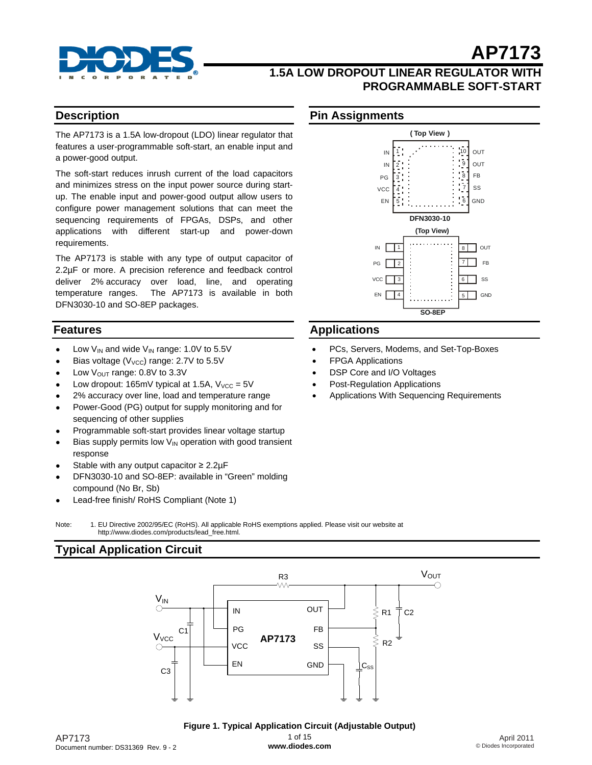

# **AP7173 1.5A LOW DROPOUT LINEAR REGULATOR WITH**

## **Description**

The AP7173 is a 1.5A low-dropout (LDO) linear regulator that features a user-programmable soft-start, an enable input and a power-good output.

The soft-start reduces inrush current of the load capacitors and minimizes stress on the input power source during startup. The enable input and power-good output allow users to configure power management solutions that can meet the sequencing requirements of FPGAs, DSPs, and other applications with different start-up and power-down requirements.

The AP7173 is stable with any type of output capacitor of 2.2µF or more. A precision reference and feedback control deliver 2% accuracy over load, line, and operating temperature ranges. The AP7173 is available in both DFN3030-10 and SO-8EP packages.

## **Features**

- Low  $V_{IN}$  and wide  $V_{IN}$  range: 1.0V to 5.5V
- Bias voltage ( $V_{\text{VCC}}$ ) range: 2.7V to 5.5V
- Low  $V_{\text{OUT}}$  range: 0.8V to 3.3V
- Low dropout: 165mV typical at 1.5A,  $V_{VCC} = 5V$
- 2% accuracy over line, load and temperature range
- Power-Good (PG) output for supply monitoring and for sequencing of other supplies
- Programmable soft-start provides linear voltage startup
- Bias supply permits low  $V_{\text{IN}}$  operation with good transient response
- Stable with any output capacitor  $\geq 2.2 \mu F$
- DFN3030-10 and SO-8EP: available in "Green" molding compound (No Br, Sb)
- Lead-free finish/ RoHS Compliant (Note 1)

#### Note: 1. EU Directive 2002/95/EC (RoHS). All applicable RoHS exemptions applied. Please visit our website at [http://www.diodes.com/products/lead\\_free.html](http://www.diodes.com/products/lead_free.html)*.*

# **Typical Application Circuit**



#### April 2011 © Diodes Incorporated

# **PROGRAMMABLE SOFT-START**

# **Pin Assignments**



# **Applications**

- PCs, Servers, Modems, and Set-Top-Boxes
- FPGA Applications
- DSP Core and I/O Voltages
- Post-Regulation Applications
- Applications With Sequencing Requirements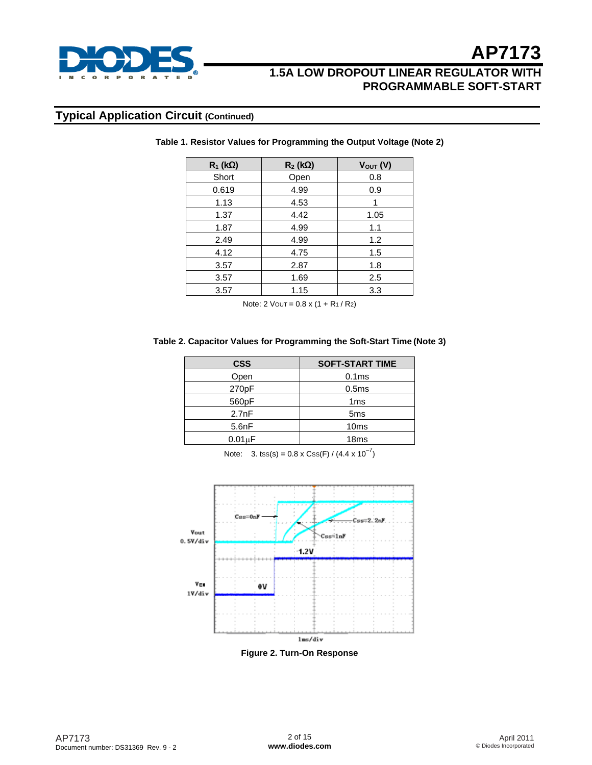

# **Typical Application Circuit (Continued)**

| $R_1$ (kΩ) | $R_2$ (kΩ) | $V_{\text{OUT}}(V)$ |
|------------|------------|---------------------|
| Short      | Open       | 0.8                 |
| 0.619      | 4.99       | 0.9                 |
| 1.13       | 4.53       |                     |
| 1.37       | 4.42       | 1.05                |
| 1.87       | 4.99       | 1.1                 |
| 2.49       | 4.99       | 1.2                 |
| 4.12       | 4.75       | 1.5                 |
| 3.57       | 2.87       | 1.8                 |
| 3.57       | 1.69       | 2.5                 |
| 3.57       | 1.15       | 3.3                 |

**Table 1. Resistor Values for Programming the Output Voltage (Note 2)** 

Note:  $2 \text{ VOUT} = 0.8 \times (1 + R_1 / R_2)$ 

### **Table 2. Capacitor Values for Programming the Soft-Start Time (Note 3)**

| <b>SOFT-START TIME</b> |  |
|------------------------|--|
| 0.1 <sub>ms</sub>      |  |
| 0.5 <sub>ms</sub>      |  |
| 1 <sub>ms</sub>        |  |
| 5 <sub>ms</sub>        |  |
| 10 <sub>ms</sub>       |  |
| 18 <sub>ms</sub>       |  |
|                        |  |

Note: 3. tss(s) =  $0.8 \times \text{Css(F)} / (4.4 \times 10^{-7})$ 



**Figure 2. Turn-On Response**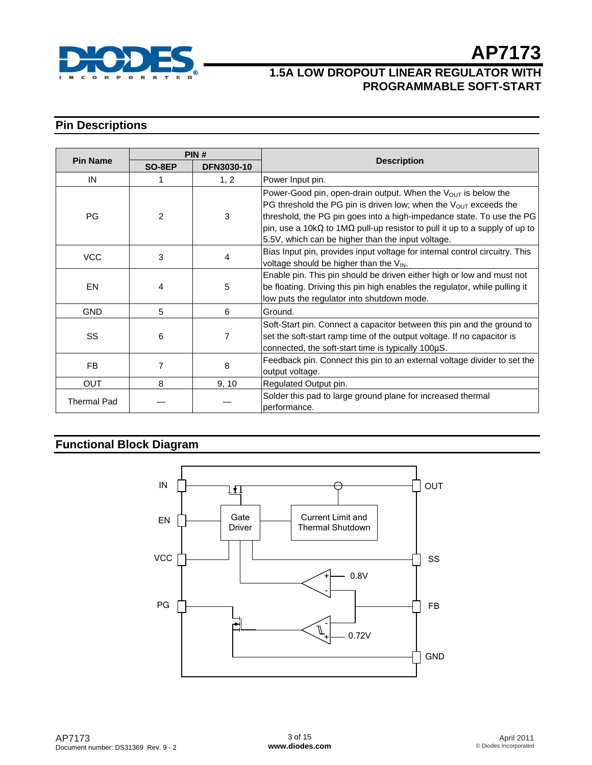

# **1.5A LOW DROPOUT LINEAR REGULATOR WITH PROGRAMMABLE SOFT-START**

# **Pin Descriptions**

|                    | PIN#           |                   |                                                                                                                                                                                                                                                                                                                                                         |  |
|--------------------|----------------|-------------------|---------------------------------------------------------------------------------------------------------------------------------------------------------------------------------------------------------------------------------------------------------------------------------------------------------------------------------------------------------|--|
| <b>Pin Name</b>    | SO-8EP         | <b>DFN3030-10</b> | <b>Description</b>                                                                                                                                                                                                                                                                                                                                      |  |
| IN                 | 1              | 1, 2              | Power Input pin.                                                                                                                                                                                                                                                                                                                                        |  |
| PG                 | $\overline{2}$ | 3                 | Power-Good pin, open-drain output. When the $V_{OUT}$ is below the<br>PG threshold the PG pin is driven low; when the $V_{OUT}$ exceeds the<br>threshold, the PG pin goes into a high-impedance state. To use the PG<br>pin, use a 10kQ to 1MQ pull-up resistor to pull it up to a supply of up to<br>5.5V, which can be higher than the input voltage. |  |
| <b>VCC</b>         | 3              | 4                 | Bias Input pin, provides input voltage for internal control circuitry. This<br>voltage should be higher than the VIN.                                                                                                                                                                                                                                   |  |
| <b>EN</b>          | 4              | 5                 | Enable pin. This pin should be driven either high or low and must not<br>be floating. Driving this pin high enables the regulator, while pulling it<br>low puts the regulator into shutdown mode.                                                                                                                                                       |  |
| <b>GND</b>         | 5              | 6                 | Ground.                                                                                                                                                                                                                                                                                                                                                 |  |
| SS                 | 6              | 7                 | Soft-Start pin. Connect a capacitor between this pin and the ground to<br>set the soft-start ramp time of the output voltage. If no capacitor is<br>connected, the soft-start time is typically 100µS.                                                                                                                                                  |  |
| FB                 | 7              | 8                 | Feedback pin. Connect this pin to an external voltage divider to set the<br>output voltage.                                                                                                                                                                                                                                                             |  |
| <b>OUT</b>         | 8              | 9, 10             | Regulated Output pin.                                                                                                                                                                                                                                                                                                                                   |  |
| <b>Thermal Pad</b> |                |                   | Solder this pad to large ground plane for increased thermal<br>performance.                                                                                                                                                                                                                                                                             |  |

# **Functional Block Diagram**

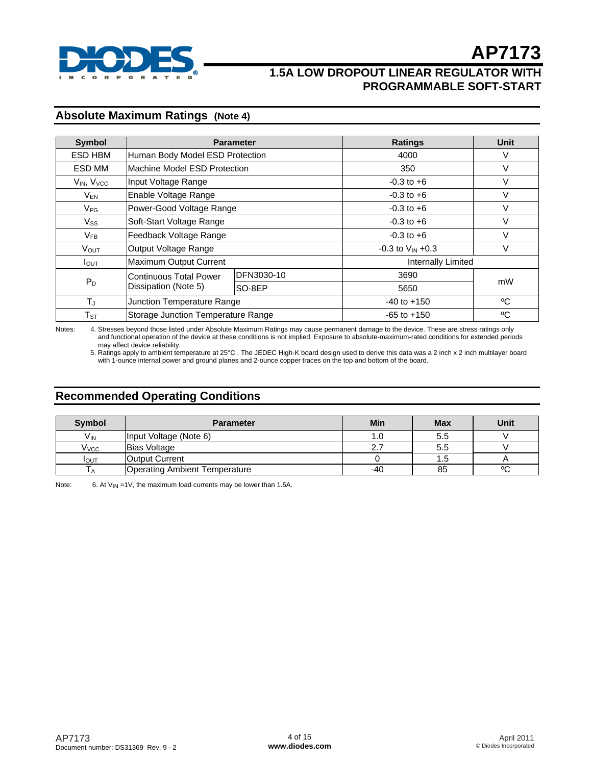

# **Absolute Maximum Ratings (Note 4)**

| <b>Symbol</b>              | <b>Parameter</b>                   |            | <b>Ratings</b>          | Unit               |  |
|----------------------------|------------------------------------|------------|-------------------------|--------------------|--|
| ESD HBM                    | Human Body Model ESD Protection    |            | 4000                    | V                  |  |
| ESD MM                     | Machine Model ESD Protection       |            | 350                     | V                  |  |
| $V_{IN}$ , $V_{VCC}$       | Input Voltage Range                |            | $-0.3$ to $+6$          | V                  |  |
| $V_{EN}$                   | Enable Voltage Range               |            | $-0.3$ to $+6$          | V                  |  |
| $V_{PG}$                   | Power-Good Voltage Range           |            | $-0.3$ to $+6$          | $\vee$             |  |
| $V_{SS}$                   | Soft-Start Voltage Range           |            | $-0.3$ to $+6$          | V                  |  |
| $V_{FB}$                   | Feedback Voltage Range             |            | $-0.3$ to $+6$          | $\vee$             |  |
| V <sub>OUT</sub>           | Output Voltage Range               |            | $-0.3$ to $V_{IN} +0.3$ | $\vee$             |  |
| $I_{\text{OUT}}$           | Maximum Output Current             |            |                         | Internally Limited |  |
| Continuous Total Power     |                                    | DFN3030-10 | 3690                    |                    |  |
| $P_D$                      | Dissipation (Note 5)               | SO-8EP     | 5650                    | mW                 |  |
| $T_{J}$                    | Junction Temperature Range         |            | $-40$ to $+150$         | °C                 |  |
| $\mathsf{T}_{\texttt{ST}}$ | Storage Junction Temperature Range |            | $-65$ to $+150$         | °C                 |  |

Notes: 4. Stresses beyond those listed under Absolute Maximum Ratings may cause permanent damage to the device. These are stress ratings only and functional operation of the device at these conditions is not implied. Exposure to absolute-maximum-rated conditions for extended periods may affect device reliability.

 5. Ratings apply to ambient temperature at 25°C . The JEDEC High-K board design used to derive this data was a 2 inch x 2 inch multilayer board with 1-ounce internal power and ground planes and 2-ounce copper traces on the top and bottom of the board.

# **Recommended Operating Conditions**

| Symbol            | <b>Parameter</b>                     | Min | <b>Max</b> | Unit |
|-------------------|--------------------------------------|-----|------------|------|
| $V_{\mathsf{IN}}$ | Input Voltage (Note 6)               | 1.0 | 5.5        |      |
| V <sub>vcc</sub>  | <b>Bias Voltage</b>                  |     | 5.5        |      |
| I <sub>OUT</sub>  | <b>Output Current</b>                |     | 1.5        |      |
|                   | <b>Operating Ambient Temperature</b> | -40 | 85         | ٥C   |

Note: 6. At  $V_{\text{IN}} = 1V$ , the maximum load currents may be lower than 1.5A.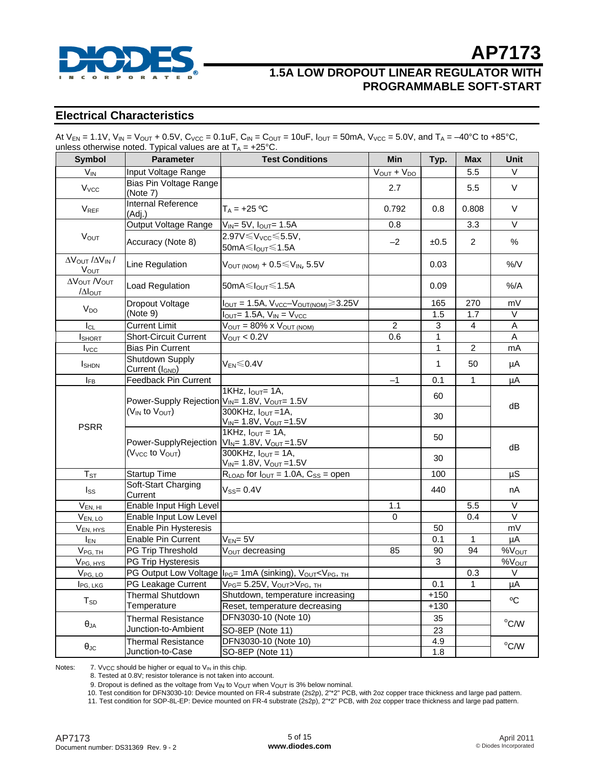

# **AP7173 1.5A LOW DROPOUT LINEAR REGULATOR WITH**

**PROGRAMMABLE SOFT-START**

# **Electrical Characteristics**

| At $V_{EN} = 1.1V$ , $V_{IN} = V_{OUT} + 0.5V$ , $C_{VCC} = 0.1uF$ , $C_{IN} = C_{OUT} = 10uF$ , $I_{OUT} = 50mA$ , $V_{VCC} = 5.0V$ , and $T_A = -40°C$ to +85°C, |  |
|--------------------------------------------------------------------------------------------------------------------------------------------------------------------|--|
| unless otherwise noted. Typical values are at $T_A = +25^{\circ}C$ .                                                                                               |  |

| <b>Symbol</b>                                                          | <b>Parameter</b><br><b>Test Conditions</b>                                                         |                                                                                                                                                                                   | <b>Min</b>         | Typ.             | <b>Max</b>     | Unit               |  |
|------------------------------------------------------------------------|----------------------------------------------------------------------------------------------------|-----------------------------------------------------------------------------------------------------------------------------------------------------------------------------------|--------------------|------------------|----------------|--------------------|--|
| $V_{IN}$                                                               | Input Voltage Range                                                                                |                                                                                                                                                                                   | $V_{OUT} + V_{DO}$ |                  | 5.5            | V                  |  |
| <b>V</b> <sub>vcc</sub>                                                | <b>Bias Pin Voltage Range</b><br>(Note 7)                                                          |                                                                                                                                                                                   | 2.7                |                  | 5.5            | V                  |  |
| <b>V<sub>REF</sub></b>                                                 | <b>Internal Reference</b><br>(Adj.)                                                                | $T_A = +25 °C$                                                                                                                                                                    | 0.792              | 0.8              | 0.808          | V                  |  |
|                                                                        | Output Voltage Range                                                                               | $V_{IN} = 5V$ , $I_{OUT} = 1.5A$                                                                                                                                                  | 0.8                |                  | 3.3            | V                  |  |
| <b>V<sub>OUT</sub></b>                                                 | Accuracy (Note 8)                                                                                  | 2.97V ≤ V <sub>VCC</sub> ≤ 5.5V,<br>$50mA \leq l_{OUT} \leq 1.5A$                                                                                                                 | $-2$               | ±0.5             | $\overline{2}$ | %                  |  |
| $\Delta V_{\text{OUT}}$ / $\Delta V_{\text{IN}}$ /<br>V <sub>OUT</sub> | Line Regulation                                                                                    | $V_{\text{OUT (NOM)}} + 0.5 \leq V_{\text{IN}}$ , 5.5V                                                                                                                            |                    | 0.03             |                | $%$ /V             |  |
| Δ V OUT / V OUT<br>/ΔΙουτ                                              | Load Regulation                                                                                    | 50mA≤ $I_{\text{OUT}}$ ≤1.5A                                                                                                                                                      |                    | 0.09             |                | %A                 |  |
| V <sub>DO</sub>                                                        | Dropout Voltage                                                                                    | $I_{\text{OUT}} = 1.5A$ , $V_{\text{VCC}} - V_{\text{OUT(NOM)}} \geq 3.25V$                                                                                                       |                    | 165              | 270            | mV                 |  |
|                                                                        | (Note 9)                                                                                           | $I_{\text{OUT}}$ 1.5A, $V_{\text{IN}}$ = $V_{\text{VCC}}$                                                                                                                         |                    | 1.5              | 1.7            | V                  |  |
| $I_{CL}$                                                               | <b>Current Limit</b>                                                                               | $\overline{V_{\text{OUT}}}$ = 80% x $V_{\text{OUT (NOM)}}$                                                                                                                        | $\overline{2}$     | $\overline{3}$   | 4              | $\overline{A}$     |  |
| <b>I</b> SHORT                                                         | <b>Short-Circuit Current</b>                                                                       | $V_{OUT} < 0.2V$                                                                                                                                                                  | 0.6                | $\mathbf{1}$     |                | A                  |  |
| $I_{\text{VCC}}$                                                       | <b>Bias Pin Current</b>                                                                            |                                                                                                                                                                                   |                    | 1                | $\overline{2}$ | mA                 |  |
| <b>I</b> SHDN                                                          | Shutdown Supply<br>Current (I <sub>GND</sub> )                                                     | V <sub>FN</sub> ≲0.4V                                                                                                                                                             |                    | 1                | 50             | μA                 |  |
| <b>IFB</b>                                                             | Feedback Pin Current                                                                               |                                                                                                                                                                                   | $-1$               | 0.1              | $\mathbf{1}$   | μA                 |  |
|                                                                        | Power-Supply Rejection V <sub>IN</sub> = 1.8V, V <sub>OUT</sub> = 1.5V<br>$(V_{IN}$ to $V_{OUT}$ ) | 1KHz, I <sub>OUT</sub> = 1A,<br>300KHz, $I_{OUT}$ =1A,                                                                                                                            |                    | 60<br>30         |                | dB                 |  |
| <b>PSRR</b>                                                            | Power-SupplyRejection<br>(V <sub>VCC</sub> to V <sub>OUT</sub> )                                   | $V_{IN}$ = 1.8V, $V_{OUT}$ =1.5V<br>$1$ KHz, $I_{OUT} = 1$ A,<br>$VI_{N} = 1.8V, V_{OUT} = 1.5V$<br>$300KHz$ , $I_{OUT} = 1A$ ,<br>V <sub>IN</sub> = 1.8V, V <sub>OUT</sub> =1.5V |                    | 50<br>30         |                | dB                 |  |
| $T_{ST}$                                                               | <b>Startup Time</b>                                                                                | $R_{\text{LOAD}}$ for $I_{\text{OUT}} = 1.0$ A, $C_{SS} =$ open                                                                                                                   |                    | 100              |                | μS                 |  |
| $I_{SS}$                                                               | Soft-Start Charging<br>Current                                                                     | $V_{SS} = 0.4V$                                                                                                                                                                   |                    | 440              |                | nA                 |  |
| V <sub>EN, HI</sub>                                                    | Enable Input High Level                                                                            |                                                                                                                                                                                   | 1.1                |                  | 5.5            | V                  |  |
| $V_{EN, LO}$                                                           | Enable Input Low Level                                                                             |                                                                                                                                                                                   | 0                  |                  | 0.4            | V                  |  |
| V <sub>EN, HYS</sub>                                                   | Enable Pin Hysteresis                                                                              |                                                                                                                                                                                   |                    | 50               |                | mV                 |  |
| $I_{EN}$                                                               | Enable Pin Current                                                                                 | $V_{EN} = 5V$                                                                                                                                                                     |                    | 0.1              | $\mathbf{1}$   | $\overline{\mu A}$ |  |
| $V_{PG, TH}$                                                           | PG Trip Threshold                                                                                  | V <sub>OUT</sub> decreasing                                                                                                                                                       | 85                 | 90               | 94             | %V <sub>OUT</sub>  |  |
| V <sub>PG, HYS</sub>                                                   | PG Trip Hysteresis                                                                                 |                                                                                                                                                                                   |                    | 3                |                | %V <sub>OUT</sub>  |  |
| V <sub>PG, LO</sub>                                                    |                                                                                                    | PG Output Low Voltage   I <sub>PG</sub> = 1mA (sinking), V <sub>OUT</sub> <v<sub>PG, TH</v<sub>                                                                                   |                    |                  | 0.3            | V                  |  |
| I <sub>PG</sub> , LKG                                                  | PG Leakage Current                                                                                 | V <sub>PG</sub> = 5.25V, VOUT>V <sub>PG</sub> , TH                                                                                                                                |                    | 0.1              | 1              | μA                 |  |
| $T_{SD}$                                                               | <b>Thermal Shutdown</b><br>Temperature                                                             | Shutdown, temperature increasing<br>Reset, temperature decreasing                                                                                                                 |                    | $+150$<br>$+130$ |                | °C                 |  |
|                                                                        | <b>Thermal Resistance</b>                                                                          | DFN3030-10 (Note 10)                                                                                                                                                              |                    | 35               |                | $^{\circ}$ C/W     |  |
| $\theta_{JA}$                                                          | Junction-to-Ambient                                                                                | <b>SO-8EP</b> (Note 11)                                                                                                                                                           |                    | 23               |                |                    |  |
|                                                                        | <b>Thermal Resistance</b>                                                                          | DFN3030-10 (Note 10)                                                                                                                                                              |                    | 4.9              |                |                    |  |
| $\theta_{\text{JC}}$                                                   | Junction-to-Case                                                                                   | SO-8EP (Note 11)                                                                                                                                                                  |                    | 1.8              |                | $^{\circ}$ C/W     |  |

Notes:  $7. V_{VCC}$  should be higher or equal to  $V_{IN}$  in this chip.

8. Tested at 0.8V; resistor tolerance is not taken into account.

9. Dropout is defined as the voltage from V<sub>IN</sub> to V<sub>OUT</sub> when V<sub>OUT</sub> is 3% below nominal.<br>10. Test condition for DFN3030-10: Device mounted on FR-4 substrate (2s2p), 2"\*2" PCB, with 2oz copper trace thickness and large p

11. Test condition for SOP-8L-EP: Device mounted on FR-4 substrate (2s2p), 2"\*2" PCB, with 2oz copper trace thickness and large pad pattern.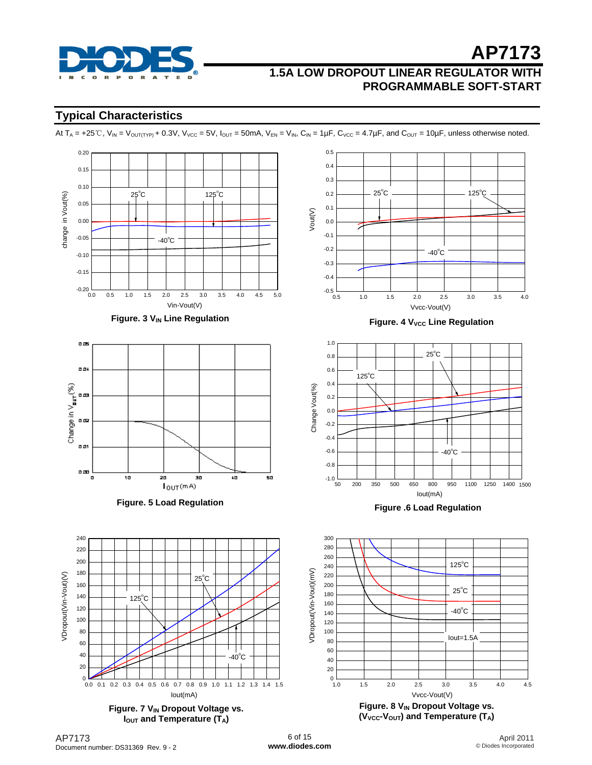

# **Typical Characteristics**

At  $T_A = +25^\circ \text{C}$ ,  $V_{IN} = V_{\text{OUT}(\text{TP})} + 0.3 \text{V}$ ,  $V_{\text{VCC}} = 5 \text{V}$ ,  $I_{\text{OUT}} = 50 \text{mA}$ ,  $V_{\text{EN}} = V_{IN}$ ,  $C_{IN} = 1 \mu \text{F}$ ,  $C_{\text{VCC}} = 4.7 \mu \text{F}$ , and  $C_{\text{OUT}} = 10 \mu \text{F}$ , unless otherwise noted.

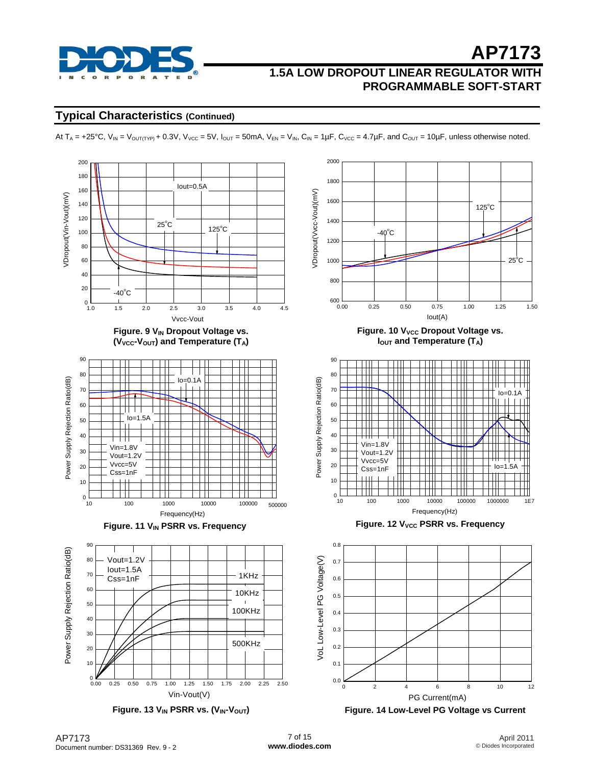

## **Typical Characteristics (Continued)**

At  $T_A = +25^{\circ}C$ ,  $V_{IN} = V_{OUT(TYP)} + 0.3V$ ,  $V_{VCC} = 5V$ ,  $I_{OUT} = 50mA$ ,  $V_{EN} = V_{IN}$ ,  $C_{IN} = 1\mu F$ ,  $C_{VCC} = 4.7\mu F$ , and  $C_{OUT} = 10\mu F$ , unless otherwise noted.

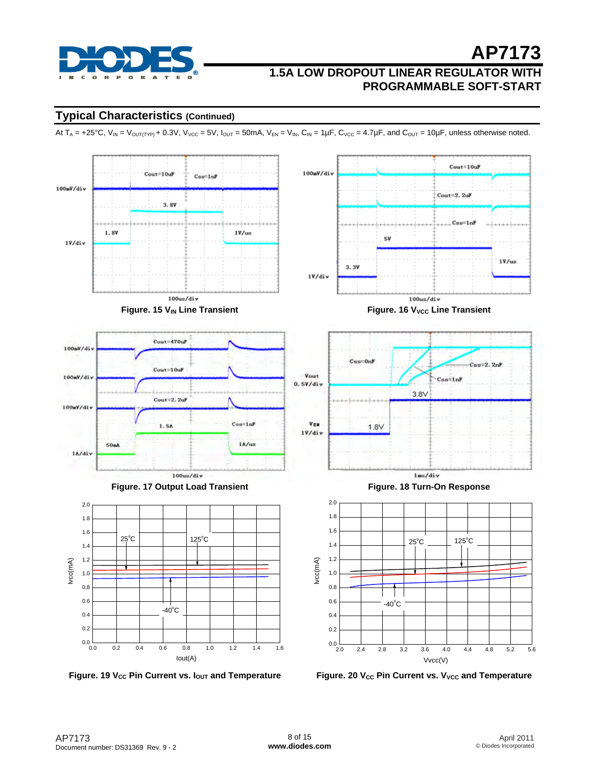

# **Typical Characteristics (Continued)**

At  $T_A = +25^{\circ}C$ ,  $V_{IN} = V_{OUT(TYP)} + 0.3V$ ,  $V_{VCC} = 5V$ ,  $I_{OUT} = 50mA$ ,  $V_{EN} = V_{IN}$ ,  $C_{IN} = 1\mu F$ ,  $C_{VCC} = 4.7\mu F$ , and  $C_{OUT} = 10\mu F$ , unless otherwise noted.



Figure. 19 V<sub>cc</sub> Pin Current vs. lout and Temperature

Figure. 20 V<sub>CC</sub> Pin Current vs. V<sub>VCC</sub> and Temperature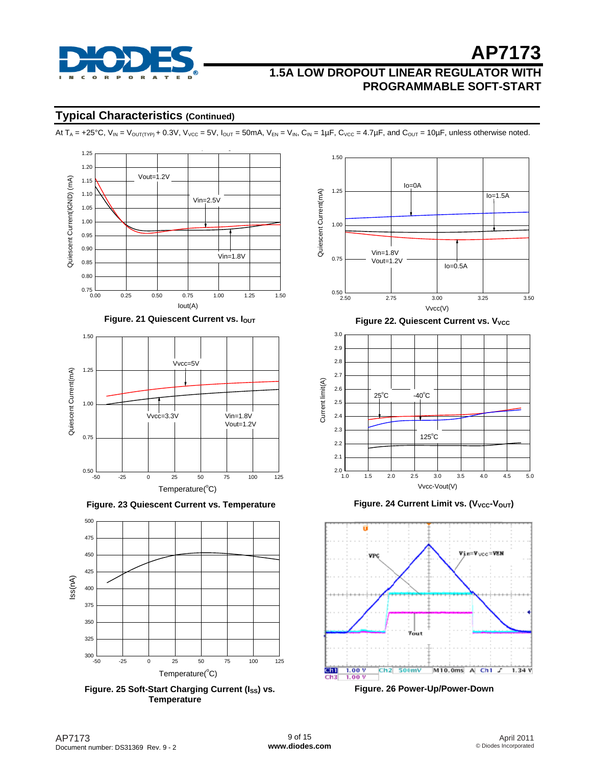

**AP7173**

# **Typical Characteristics (Continued)**

At  $T_A = +25^{\circ}C$ ,  $V_{IN} = V_{OUT(TYP)} + 0.3V$ ,  $V_{VCC} = 5V$ ,  $I_{OUT} = 50mA$ ,  $V_{EN} = V_{IN}$ ,  $C_{IN} = 1\mu F$ ,  $C_{VCC} = 4.7\mu F$ , and  $C_{OUT} = 10\mu F$ , unless otherwise noted.





 **Figure. 23 Quiescent Current vs. Temperature** 



Figure. 25 Soft-Start Charging Current (I<sub>SS</sub>) vs. **Temperature** 



**Figure. 24 Current Limit vs. (V<sub>VCC</sub>-V<sub>OUT</sub>)** 



**Figure. 26 Power-Up/Power-Down**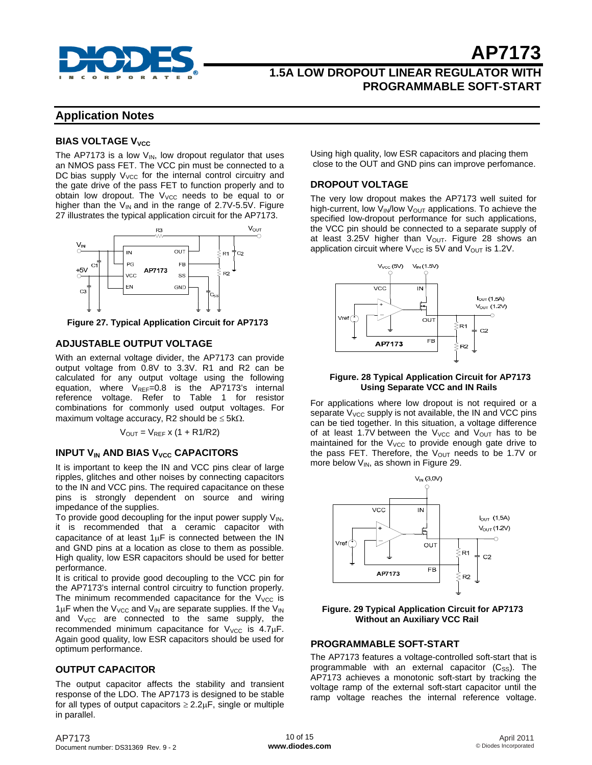

# **Application Notes**

## **BIAS VOLTAGE V<sub>VCC</sub>**

The AP7173 is a low  $V_{\text{IN}}$ , low dropout regulator that uses an NMOS pass FET. The VCC pin must be connected to a DC bias supply  $V_{\text{VCC}}$  for the internal control circuitry and the gate drive of the pass FET to function properly and to obtain low dropout. The  $V_{VCC}$  needs to be equal to or higher than the  $V_{IN}$  and in the range of 2.7V-5.5V. Figure 27 illustrates the typical application circuit for the AP7173.



**Figure 27. Typical Application Circuit for AP7173** 

## **ADJUSTABLE OUTPUT VOLTAGE**

With an external voltage divider, the AP7173 can provide output voltage from 0.8V to 3.3V. R1 and R2 can be calculated for any output voltage using the following equation, where  $V_{REF}=0.8$  is the AP7173's internal reference voltage. Refer to Table 1 for resistor combinations for commonly used output voltages. For maximum voltage accuracy, R2 should be  $\leq$  5k $\Omega$ .

 $V_{OUT} = V_{REF} x (1 + R1/R2)$ 

## **INPUT V<sub>IN</sub> AND BIAS V<sub>VCC</sub> CAPACITORS**

It is important to keep the IN and VCC pins clear of large ripples, glitches and other noises by connecting capacitors to the IN and VCC pins. The required capacitance on these pins is strongly dependent on source and wiring impedance of the supplies.

To provide good decoupling for the input power supply  $V_{IN}$ , it is recommended that a ceramic capacitor with capacitance of at least  $1\mu$ F is connected between the IN and GND pins at a location as close to them as possible. High quality, low ESR capacitors should be used for better performance.

It is critical to provide good decoupling to the VCC pin for the AP7173's internal control circuitry to function properly. The minimum recommended capacitance for the  $V_{\text{VCC}}$  is  $1 \mu$ F when the V<sub>VCC</sub> and V<sub>IN</sub> are separate supplies. If the V<sub>IN</sub> and  $V_{VCC}$  are connected to the same supply, the recommended minimum capacitance for  $V_{VCC}$  is 4.7 $\mu$ F. Again good quality, low ESR capacitors should be used for optimum performance.

## **OUTPUT CAPACITOR**

The output capacitor affects the stability and transient response of the LDO. The AP7173 is designed to be stable for all types of output capacitors  $\geq 2.2 \mu F$ , single or multiple in parallel.

Using high quality, low ESR capacitors and placing them close to the OUT and GND pins can improve perfomance.

## **DROPOUT VOLTAGE**

The very low dropout makes the AP7173 well suited for high-current, low  $V_{\text{IN}}/I_{\text{OW}}$  V<sub>OUT</sub> applications. To achieve the specified low-dropout performance for such applications, the VCC pin should be connected to a separate supply of at least 3.25V higher than  $V_{\text{OUT}}$ . Figure 28 shows an application circuit where  $V_{\text{VCC}}$  is 5V and  $V_{\text{OUT}}$  is 1.2V.



#### **Figure. 28 Typical Application Circuit for AP7173 Using Separate VCC and IN Rails**

For applications where low dropout is not required or a separate  $V_{\text{VCC}}$  supply is not available, the IN and VCC pins can be tied together. In this situation, a voltage difference of at least 1.7V between the  $V_{\text{VCC}}$  and  $V_{\text{OUT}}$  has to be maintained for the  $V_{VCC}$  to provide enough gate drive to the pass FET. Therefore, the  $V_{OUT}$  needs to be 1.7V or more below  $V_{IN}$ , as shown in Figure 29.



**Figure. 29 Typical Application Circuit for AP7173 Without an Auxiliary VCC Rail** 

## **PROGRAMMABLE SOFT-START**

The AP7173 features a voltage-controlled soft-start that is programmable with an external capacitor  $(C_{SS})$ . The AP7173 achieves a monotonic soft-start by tracking the voltage ramp of the external soft-start capacitor until the ramp voltage reaches the internal reference voltage.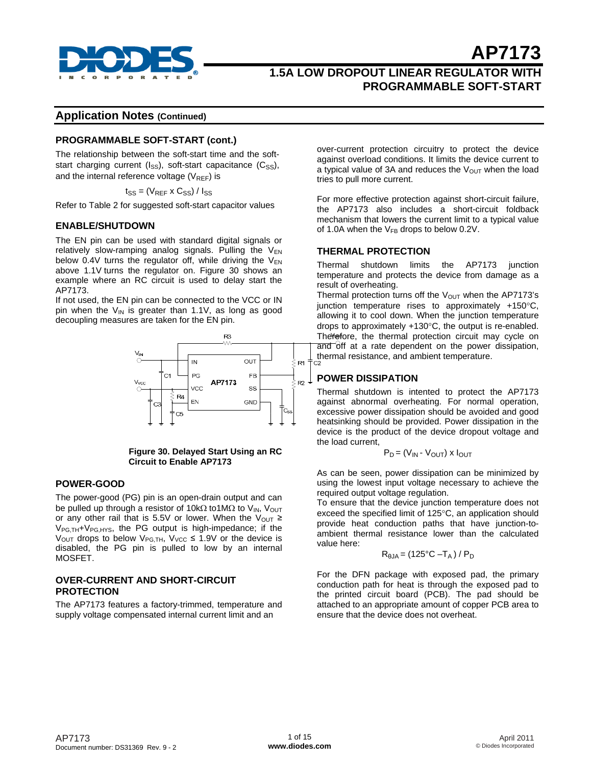

# **1.5A LOW DROPOUT LINEAR REGULATOR WITH PROGRAMMABLE SOFT-START**

## **Application Notes (Continued)**

### **PROGRAMMABLE SOFT-START (cont.)**

The relationship between the soft-start time and the softstart charging current ( $I_{SS}$ ), soft-start capacitance ( $C_{SS}$ ), and the internal reference voltage  $(V_{REF})$  is

 $t_{SS} = (V_{REF} \times C_{SS}) / I_{SS}$ 

Refer to Table 2 for suggested soft-start capacitor values

#### **ENABLE/SHUTDOWN**

The EN pin can be used with standard digital signals or relatively slow-ramping analog signals. Pulling the  $V_{EN}$ below 0.4V turns the regulator off, while driving the  $V_{EN}$ above 1.1V turns the regulator on. Figure 30 shows an example where an RC circuit is used to delay start the AP7173.

If not used, the EN pin can be connected to the VCC or IN pin when the  $V_{IN}$  is greater than 1.1V, as long as good decoupling measures are taken for the EN pin.



#### **Figure 30. Delayed Start Using an RC Circuit to Enable AP7173**

#### **POWER-GOOD**

The power-good (PG) pin is an open-drain output and can be pulled up through a resistor of 10kΩ to1MΩ to V<sub>IN</sub>, V<sub>OUT</sub> or any other rail that is 5.5V or lower. When the V<sub>OUT</sub>  $\geq$  $V_{PG,TH}$ + $V_{PG,HYS}$ , the PG output is high-impedance; if the  $V_{\text{OUT}}$  drops to below  $V_{\text{PG},TH}$ ,  $V_{\text{VCC}} \leq 1.9V$  or the device is disabled, the PG pin is pulled to low by an internal MOSFET.

#### **OVER-CURRENT AND SHORT-CIRCUIT PROTECTION**

The AP7173 features a factory-trimmed, temperature and supply voltage compensated internal current limit and an

over-current protection circuitry to protect the device against overload conditions. It limits the device current to a typical value of 3A and reduces the  $V_{OUT}$  when the load tries to pull more current.

For more effective protection against short-circuit failure, the AP7173 also includes a short-circuit foldback mechanism that lowers the current limit to a typical value of 1.0A when the  $V_{FB}$  drops to below 0.2V.

### **THERMAL PROTECTION**

Thermal shutdown limits the AP7173 junction temperature and protects the device from damage as a result of overheating.

Thermal protection turns off the  $V_{OUT}$  when the AP7173's junction temperature rises to approximately +150°C, allowing it to cool down. When the junction temperature drops to approximately +130°C, the output is re-enabled. Therefore, the thermal protection circuit may cycle on  $\overline{a}$ nd  $\overline{b}$ ff at a rate dependent on the power dissipation, thermal resistance, and ambient temperature.

## **POWER DISSIPATION**

Thermal shutdown is intented to protect the AP7173 against abnormal overheating. For normal operation, excessive power dissipation should be avoided and good heatsinking should be provided. Power dissipation in the device is the product of the device dropout voltage and the load current,

$$
P_D = (V_{IN} - V_{OUT}) \times I_{OUT}
$$

As can be seen, power dissipation can be minimized by using the lowest input voltage necessary to achieve the required output voltage regulation.

To ensure that the device junction temperature does not exceed the specified limit of 125°C, an application should provide heat conduction paths that have junction-toambient thermal resistance lower than the calculated value here:

$$
R_{\theta JA} = (125^{\circ}C - T_A) / P_D
$$

For the DFN package with exposed pad, the primary conduction path for heat is through the exposed pad to the printed circuit board (PCB). The pad should be attached to an appropriate amount of copper PCB area to ensure that the device does not overheat.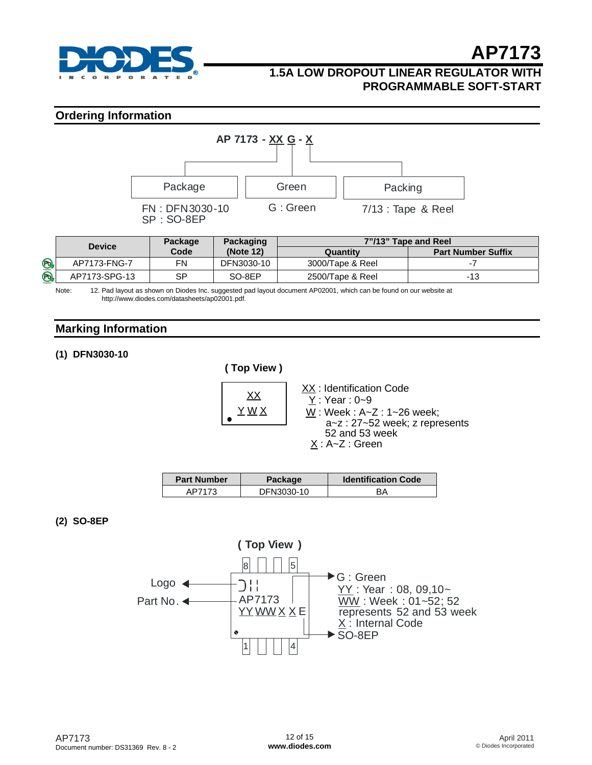

# **1.5A LOW DROPOUT LINEAR REGULATOR WITH PROGRAMMABLE SOFT-START**

## **Ordering Information**



|                | <b>Device</b> | <b>Package</b> | Packaging  | 7"/13" Tape and Reel |                           |
|----------------|---------------|----------------|------------|----------------------|---------------------------|
|                |               | Code           | (Note 12)  | Quantitv             | <b>Part Number Suffix</b> |
| P <sub>b</sub> | AP7173-FNG-7  | FN             | DFN3030-10 | 3000/Tape & Reel     |                           |
| P <sub>b</sub> | AP7173-SPG-13 | SP             | SO-8EP     | 2500/Tape & Reel     | -13                       |

Note: 12. Pad layout as shown on Diodes Inc. suggested pad layout document AP02001, which can be found on our website at [http://www.diodes.com/datasheets/ap02001.pdf.](http://www.diodes.com/datasheets/ap02001.pdf) 

# **Marking Information**

## **(1) DFN3030-10**

**( Top View )**  $\overline{\begin{array}{ccc} XX & \overline{X} \\ XX & \overline{Y} \end{array}}$  : Identification Code  $X : A \sim Z :$  Green Y : Year : 0~9 W : Week : A~Z : 1~26 week; a~z : 27~52 week; z represents 52 and 53 week Y W X

| <b>Part Number</b> | <b>Package</b> | <b>Identification Code</b> |
|--------------------|----------------|----------------------------|
| ΔD71.              | DFN3030-10     |                            |

## **(2) SO-8EP**

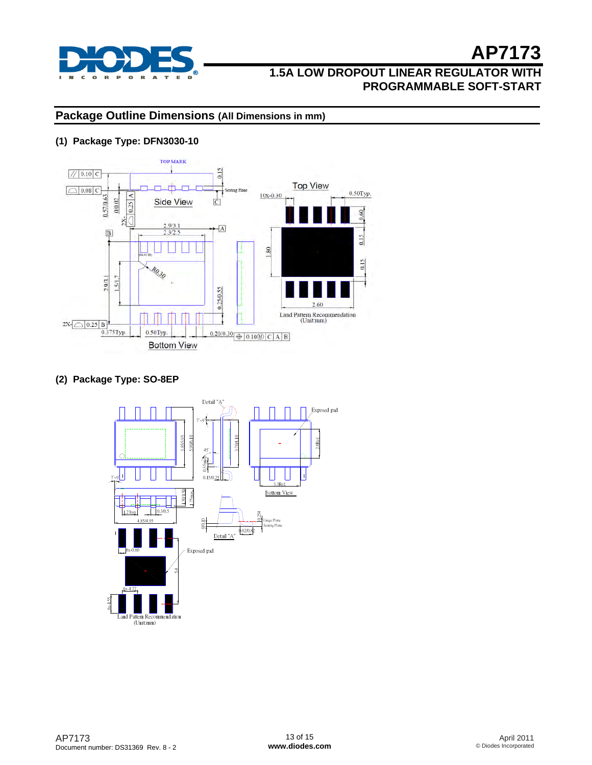

# **Package Outline Dimensions (All Dimensions in mm)**

## **(1) Package Type: DFN3030-10**



## **(2) Package Type: SO-8EP**

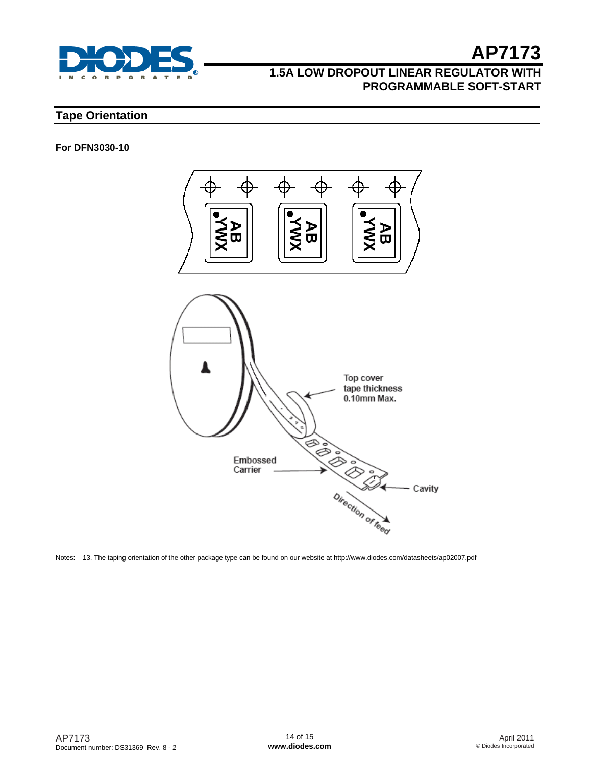

# **1.5A LOW DROPOUT LINEAR REGULATOR WITH PROGRAMMABLE SOFT-START**

# **Tape Orientation**

### **For DFN3030-10**



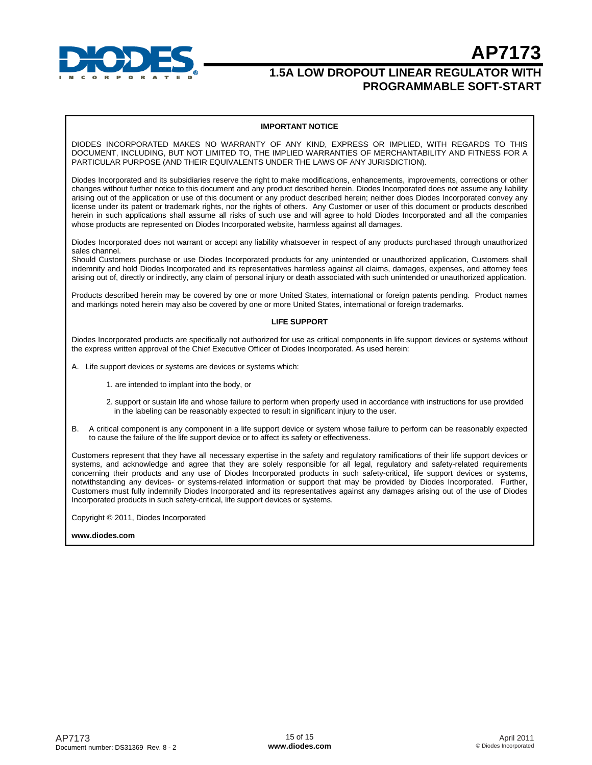

**AP7173**

#### **IMPORTANT NOTICE**

DIODES INCORPORATED MAKES NO WARRANTY OF ANY KIND, EXPRESS OR IMPLIED, WITH REGARDS TO THIS DOCUMENT, INCLUDING, BUT NOT LIMITED TO, THE IMPLIED WARRANTIES OF MERCHANTABILITY AND FITNESS FOR A PARTICULAR PURPOSE (AND THEIR EQUIVALENTS UNDER THE LAWS OF ANY JURISDICTION).

Diodes Incorporated and its subsidiaries reserve the right to make modifications, enhancements, improvements, corrections or other changes without further notice to this document and any product described herein. Diodes Incorporated does not assume any liability arising out of the application or use of this document or any product described herein; neither does Diodes Incorporated convey any license under its patent or trademark rights, nor the rights of others. Any Customer or user of this document or products described herein in such applications shall assume all risks of such use and will agree to hold Diodes Incorporated and all the companies whose products are represented on Diodes Incorporated website, harmless against all damages.

Diodes Incorporated does not warrant or accept any liability whatsoever in respect of any products purchased through unauthorized sales channel.

Should Customers purchase or use Diodes Incorporated products for any unintended or unauthorized application, Customers shall indemnify and hold Diodes Incorporated and its representatives harmless against all claims, damages, expenses, and attorney fees arising out of, directly or indirectly, any claim of personal injury or death associated with such unintended or unauthorized application.

Products described herein may be covered by one or more United States, international or foreign patents pending. Product names and markings noted herein may also be covered by one or more United States, international or foreign trademarks.

#### **LIFE SUPPORT**

Diodes Incorporated products are specifically not authorized for use as critical components in life support devices or systems without the express written approval of the Chief Executive Officer of Diodes Incorporated. As used herein:

- A. Life support devices or systems are devices or systems which:
	- 1. are intended to implant into the body, or
	- 2. support or sustain life and whose failure to perform when properly used in accordance with instructions for use provided in the labeling can be reasonably expected to result in significant injury to the user.
- B. A critical component is any component in a life support device or system whose failure to perform can be reasonably expected to cause the failure of the life support device or to affect its safety or effectiveness.

Customers represent that they have all necessary expertise in the safety and regulatory ramifications of their life support devices or systems, and acknowledge and agree that they are solely responsible for all legal, regulatory and safety-related requirements concerning their products and any use of Diodes Incorporated products in such safety-critical, life support devices or systems, notwithstanding any devices- or systems-related information or support that may be provided by Diodes Incorporated. Further, Customers must fully indemnify Diodes Incorporated and its representatives against any damages arising out of the use of Diodes Incorporated products in such safety-critical, life support devices or systems.

Copyright © 2011, Diodes Incorporated

**[www.diodes.com](http://www.diodes.com)**